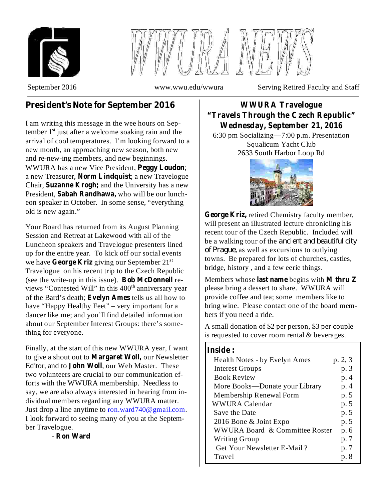



September 2016 www.wwu.edu/wwura Serving Retired Faculty and Staff

# **President's Note for September 2016**

I am writing this message in the wee hours on September 1<sup>st</sup> just after a welcome soaking rain and the arrival of cool temperatures. I'm looking forward to a new month, an approaching new season, both new and re-new-ing members, and new beginnings. WWURA has a new Vice President, Peggy Loudon; a new Treasurer, Norm Lindquist; a new Travelogue Chair, Suzanne Krogh; and the University has a new President, Sabah Randhawa, who will be our luncheon speaker in October. In some sense, "everything old is new again."

Your Board has returned from its August Planning Session and Retreat at Lakewood with all of the Luncheon speakers and Travelogue presenters lined up for the entire year. To kick off our social events we have George Kriz giving our September 21<sup>st</sup> Travelogue on his recent trip to the Czech Republic (see the write-up in this issue). Bob McDonnell reviews "Contested Will" in this 400<sup>th</sup> anniversary year of the Bard's death; Evelyn Ames tells us all how to have "Happy Healthy Feet" – very important for a dancer like me; and you'll find detailed information about our September Interest Groups: there's something for everyone.

Finally, at the start of this new WWURA year, I want to give a shout out to **Margaret Woll**, our Newsletter Editor, and to John Woll, our Web Master. These two volunteers are crucial to our communication efforts with the WWURA membership. Needless to say, we are also always interested in hearing from individual members regarding any WWURA matter. Just drop a line anytime to ron.ward740@gmail.com. I look forward to seeing many of you at the September Travelogue.

- **Ron Ward**

# **WWURA Travelogue "Travels Through the Czech Republic" Wednesday, September 21, 2016**

6:30 pm Socializing—7:00 p.m. Presentation Squalicum Yacht Club 2633 South Harbor Loop Rd



George Kriz, retired Chemistry faculty member, will present an illustrated lecture chronicling his recent tour of the Czech Republic. Included will be a walking tour of the *ancient and beautiful city of Prague,* as well as excursions to outlying towns. Be prepared for lots of churches, castles, bridge, history , and a few eerie things.

Members whose last name begins with M thru Z please bring a dessert to share. WWURA will provide coffee and tea; some members like to bring wine. Please contact one of the board members if you need a ride.

A small donation of \$2 per person, \$3 per couple is requested to cover room rental & beverages.

## **Inside :**

| Health Notes - by Evelyn Ames  | p. 2, 3 |
|--------------------------------|---------|
| <b>Interest Groups</b>         | p. 3    |
| <b>Book Review</b>             | p. 4    |
| More Books—Donate your Library | p. 4    |
| Membership Renewal Form        | p. 5    |
| WWURA Calendar                 | p. 5    |
| <b>Save the Date</b>           | p. 5    |
| 2016 Bone & Joint Expo         | p. 5    |
| WWURA Board & Committee Roster | p. 6    |
| <b>Writing Group</b>           | p. 7    |
| Get Your Newsletter E-Mail?    | p. 7    |
| Travel                         | p. 8    |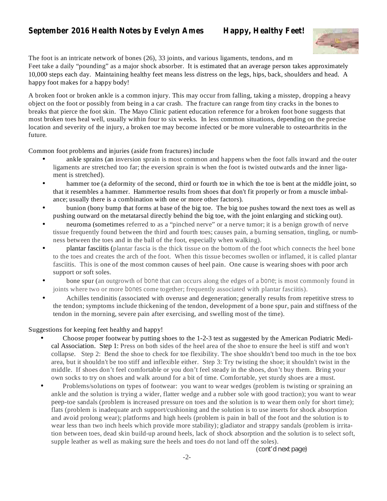# **September 2016 Health Notes by Evelyn Ames Happy, Healthy Feet!**



The foot is an intricate network of bones (26), 33 joints, and various ligaments, tendons, and m Feet take a daily "pounding" as a major shock absorber. It is estimated that an average person takes approximately 10,000 steps each day. Maintaining healthy feet means less distress on the legs, hips, back, shoulders and head. A happy foot makes for a happy body!

A broken foot or broken ankle is a common injury. This may occur from falling, taking a misstep, dropping a heavy object on the foot or possibly from being in a car crash. The fracture can range from tiny cracks in the bones to breaks that pierce the foot skin. The Mayo Clinic patient education reference for a broken foot bone suggests that most broken toes heal well, usually within four to six weeks. In less common situations, depending on the precise location and severity of the injury, a broken toe may become infected or be more vulnerable to osteoarthritis in the future.

Common foot problems and injuries (aside from fractures) include

- ankle sprains (an inversion sprain is most common and happens when the foot falls inward and the outer ligaments are stretched too far; the eversion sprain is when the foot is twisted outwards and the inner ligament is stretched). •
- hammer toe (a deformity of the second, third or fourth toe in which the toe is bent at the middle joint, so that it resembles a hammer. Hammertoe results from shoes that don't fit properly or from a muscle imbalance; usually there is a combination with one or more other factors). •
- bunion (bony bump that forms at base of the big toe. The big toe pushes toward the next toes as well as pushing outward on the metatarsal directly behind the big toe, with the joint enlarging and sticking out). •
- neuroma (sometimes referred to as a "pinched nerve" or a nerve tumor; it is a benign growth of nerve tissue frequently found between the third and fourth toes; causes pain, a burning sensation, tingling, or numbness between the toes and in the ball of the foot, especially when walking). •
- plantar fasciitis (plantar fascia is the thick tissue on the bottom of the foot which connects the heel bone to the toes and creates the arch of the foot. When this tissue becomes swollen or inflamed, it is called plantar fasciitis. This is one of the most common causes of heel pain. One cause is wearing shoes with poor arch support or soft soles. •
- bone spur (an outgrowth of bone that can occurs along the edges of a bone; is most commonly found in joints where two or more bones come together; frequently associated with plantar fasciitis). •
- Achilles tendinitis (associated with overuse and degeneration; generally results from repetitive stress to the tendon; symptoms include thickening of the tendon, development of a bone spur, pain and stiffness of the tendon in the morning, severe pain after exercising, and swelling most of the time). •

Suggestions for keeping feet healthy and happy!

- Choose proper footwear by putting shoes to the 1-2-3 test as suggested by the American Podiatric Medical Association. Step 1: Press on both sides of the heel area of the shoe to ensure the heel is stiff and won't collapse. Step 2: Bend the shoe to check for toe flexibility. The shoe shouldn't bend too much in the toe box area, but it shouldn't be too stiff and inflexible either. Step 3: Try twisting the shoe; it shouldn't twist in the middle. If shoes don't feel comfortable or you don't feel steady in the shoes, don't buy them. Bring your own socks to try on shoes and walk around for a bit of time. Comfortable, yet sturdy shoes are a must. •
- Problems/solutions on types of footwear: you want to wear wedges (problem is twisting or spraining an ankle and the solution is trying a wider, flatter wedge and a rubber sole with good traction); you want to wear peep-toe sandals (problem is increased pressure on toes and the solution is to wear them only for short time); flats (problem is inadequate arch support/cushioning and the solution is to use inserts for shock absorption and avoid prolong wear); platforms and high heels (problem is pain in ball of the foot and the solution is to wear less than two inch heels which provide more stability); gladiator and strappy sandals (problem is irritation between toes, dead skin build-up around heels, lack of shock absorption and the solution is to select soft, supple leather as well as making sure the heels and toes do not land off the soles). •

( *cont'd next page)*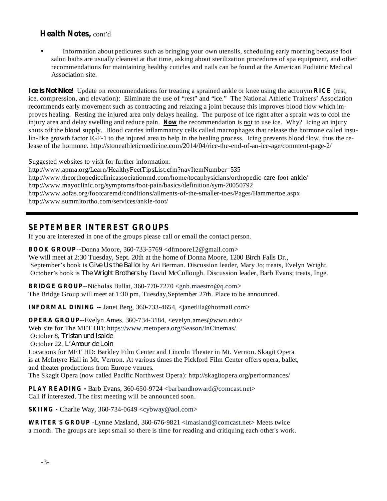### **Health Notes,** cont'd

Information about pedicures such as bringing your own utensils, scheduling early morning because foot salon baths are usually cleanest at that time, asking about sterilization procedures of spa equipment, and other recommendations for maintaining healthy cuticles and nails can be found at the American Podiatric Medical Association site. •

Ice is Not Nice! Update on recommendations for treating a sprained ankle or knee using the acronym RICE (rest, injury area and delay swelling and reduce pain. Now the recommendation is not to use ice. Why? Icing an injury ice, compression, and elevation): Eliminate the use of "rest" and "ice." The National Athletic Trainers' Association recommends early movement such as contracting and relaxing a joint because this improves blood flow which improves healing. Resting the injured area only delays healing. The purpose of ice right after a sprain was to cool the shuts off the blood supply. Blood carries inflammatory cells called macrophages that release the hormone called insulin-like growth factor IGF-1 to the injured area to help in the healing process. Icing prevents blood flow, thus the release of the hormone. http://stoneathleticmedicine.com/2014/04/rice-the-end-of-an-ice-age/comment-page-2/

Suggested websites to visit for further information: http://www.apma.org/Learn/HealthyFeetTipsList.cfm?navItemNumber=535 http://www.theorthopedicclinicassociationmd.com/home/tocaphysicians/orthopedic-care-foot-ankle/ http://www.mayoclinic.org/symptoms/foot-pain/basics/definition/sym-20050792 http://www.aofas.org/footcaremd/conditions/ailments-of-the-smaller-toes/Pages/Hammertoe.aspx http://www.summitortho.com/services/ankle-foot/

#### **SEPTEMBER INTEREST GROUPS**

If you are interested in one of the groups please call or email the contact person.

**BOOK GROUP** --Donna Moore, 360-733-5769 <dfmoore12@gmail.com> We will meet at 2:30 Tuesday, Sept. 20th at the home of Donna Moore, 1200 Birch Falls Dr., September's book is *Give Us the Ballot* by Ari Berman. Discussion leader, Mary Jo; treats, Evelyn Wright. October's book is *The Wright Brothers* by David McCullough. Discussion leader, Barb Evans; treats, Inge.

**BRIDGE GROUP** --Nicholas Bullat, 360-770-7270 <gnb.maestro@q.com> The Bridge Group will meet at 1:30 pm, Tuesday,September 27th. Place to be announced.

**INFORMAL DINING --** Janet Berg, 360-733-4654, <janetlila@hotmail.com>

**OPERA GROUP** --Evelyn Ames, 360-734-3184, <evelyn.ames@wwu.edu> Web site for The MET HD: https://www.metopera.org/Season/InCinemas/. October 8, *Tristan und Isolde* October 22, *L'Amour de Loin*Locations for MET HD: Barkley Film Center and Lincoln Theater in Mt. Vernon. Skagit Opera is at McIntyre Hall in Mt. Vernon. At various times the Pickford Film Center offers opera, ballet, and theater productions from Europe venues.

The Skagit Opera (now called Pacific Northwest Opera): http://skagitopera.org/performances/

**PLAY READING -** Barb Evans, 360-650-9724 <barbandhoward@comcast.net> Call if interested. The first meeting will be announced soon.

**SKIING -** Charlie Way, 360-734-0649 <cybway@aol.com>

**WRITER'S GROUP** -Lynne Masland, 360-676-9821 <lmasland@comcast.net> Meets twice a month. The groups are kept small so there is time for reading and critiquing each other's work.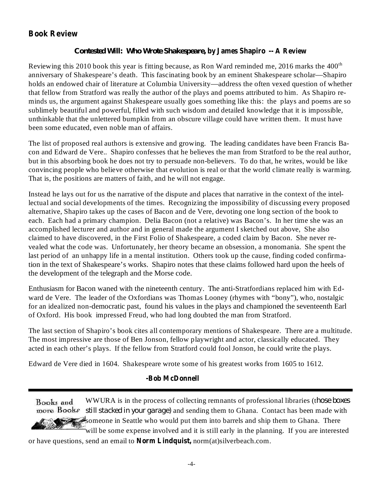# **Book Review**

#### **by James Shapiro -- A Review** *Contested Will: Who Wrote Shakespeare,*

Reviewing this 2010 book this year is fitting because, as Ron Ward reminded me, 2016 marks the  $400<sup>th</sup>$ anniversary of Shakespeare's death. This fascinating book by an eminent Shakespeare scholar—Shapiro holds an endowed chair of literature at Columbia University—address the often vexed question of whether that fellow from Stratford was really the author of the plays and poems attributed to him. As Shapiro reminds us, the argument against Shakespeare usually goes something like this: the plays and poems are so sublimely beautiful and powerful, filled with such wisdom and detailed knowledge that it is impossible, unthinkable that the unlettered bumpkin from an obscure village could have written them. It must have been some educated, even noble man of affairs.

The list of proposed real authors is extensive and growing. The leading candidates have been Francis Bacon and Edward de Vere.. Shapiro confesses that he believes the man from Stratford to be the real author, but in this absorbing book he does not try to persuade non-believers. To do that, he writes, would be like convincing people who believe otherwise that evolution is real or that the world climate really is warming. That is, the positions are matters of faith, and he will not engage.

Instead he lays out for us the narrative of the dispute and places that narrative in the context of the intellectual and social developments of the times. Recognizing the impossibility of discussing every proposed alternative, Shapiro takes up the cases of Bacon and de Vere, devoting one long section of the book to each. Each had a primary champion. Delia Bacon (not a relative) was Bacon's. In her time she was an accomplished lecturer and author and in general made the argument I sketched out above, She also claimed to have discovered, in the First Folio of Shakespeare, a coded claim by Bacon. She never revealed what the code was. Unfortunately, her theory became an obsession, a monomania. She spent the last period of an unhappy life in a mental institution. Others took up the cause, finding coded confirmation in the text of Shakespeare's works. Shapiro notes that these claims followed hard upon the heels of the development of the telegraph and the Morse code.

Enthusiasm for Bacon waned with the nineteenth century. The anti-Stratfordians replaced him with Edward de Vere. The leader of the Oxfordians was Thomas Looney (rhymes with "bony"), who, nostalgic for an idealized non-democratic past, found his values in the plays and championed the seventeenth Earl of Oxford. His book impressed Freud, who had long doubted the man from Stratford.

The last section of Shapiro's book cites all contemporary mentions of Shakespeare. There are a multitude. The most impressive are those of Ben Jonson, fellow playwright and actor, classically educated. They acted in each other's plays. If the fellow from Stratford could fool Jonson, he could write the plays.

Edward de Vere died in 1604. Shakespeare wrote some of his greatest works from 1605 to 1612.

#### **-Bob McDonnell**

WWURA is in the process of collecting remnants of professional libraries (t *hose boxes* Books and *still stacked in your garage)* and sending them to Ghana. Contact has been made with someone in Seattle who would put them into barrels and ship them to Ghana. There will be some expense involved and it is still early in the planning. If you are interested

or have questions, send an email to **Norm Lindquist**, norm(at)silverbeach.com.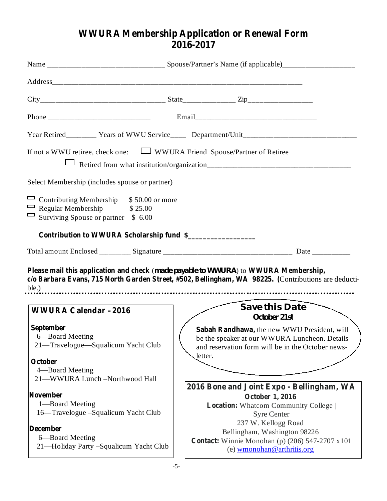# **WWURA Membership Application or Renewal Form 2016-2017**

|                                                                                                                                  | Year Retired_________ Years of WWU Service____ Department/Unit___________________                                                                                                          |  |  |  |
|----------------------------------------------------------------------------------------------------------------------------------|--------------------------------------------------------------------------------------------------------------------------------------------------------------------------------------------|--|--|--|
| If not a WWU retiree, check one: $\Box$ WWURA Friend Spouse/Partner of Retiree                                                   |                                                                                                                                                                                            |  |  |  |
| Select Membership (includes spouse or partner)                                                                                   |                                                                                                                                                                                            |  |  |  |
| Contributing Membership \$50.00 or more<br>$\Box$ Regular Membership<br>\$25.00<br>$\Box$<br>Surviving Spouse or partner \$ 6.00 |                                                                                                                                                                                            |  |  |  |
| Contribution to WWURA Scholarship fund \$                                                                                        |                                                                                                                                                                                            |  |  |  |
|                                                                                                                                  |                                                                                                                                                                                            |  |  |  |
|                                                                                                                                  | Please mail this application and check (made payable to WWURA) to WWURA Membership,<br>c/o Barbara Evans, 715 North Garden Street, #502, Bellingham, WA 98225. (Contributions are deducti- |  |  |  |
| <b>WWURA Calendar-2016</b>                                                                                                       | Save this Date<br>October 21st                                                                                                                                                             |  |  |  |
| September<br>6—Board Meeting<br>21—Travelogue—Squalicum Yacht Club                                                               | Sabah Randhawa, the new WWU President, will<br>be the speaker at our WWURA Luncheon. Details<br>and reservation form will be in the October news-<br>letter.                               |  |  |  |
| October<br>4-Board Meeting<br>21-WWURA Lunch-Northwood Hall                                                                      |                                                                                                                                                                                            |  |  |  |
| <b>November</b><br>1-Board Meeting<br>16—Travelogue - Squalicum Yacht Club<br><b>December</b><br>6-Board Meeting                 | 2016 Bone and Joint Expo - Bellingham, WA<br><b>October 1, 2016</b><br>Location: Whatcom Community College<br><b>Syre Center</b><br>237 W. Kellogg Road<br>Bellingham, Washington 98226    |  |  |  |
| 21—Holiday Party -Squalicum Yacht Club                                                                                           | <b>Contact:</b> Winnie Monohan (p) $(206)$ 547-2707 x101                                                                                                                                   |  |  |  |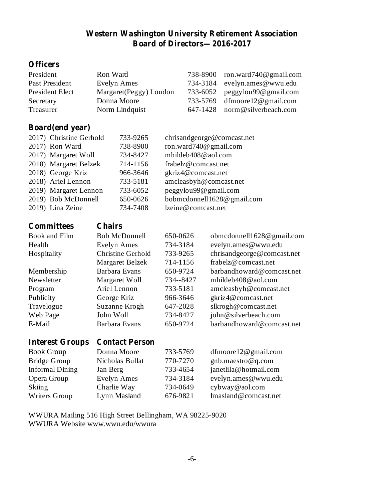# **Western Washington University Retirement Association Board of Directors—2016-2017**

# **Officers**

| President               | Ron Ward                        |                          |                            | 738-8900               | ron.ward740@gmail.com      |  |
|-------------------------|---------------------------------|--------------------------|----------------------------|------------------------|----------------------------|--|
| <b>Past President</b>   | <b>Evelyn Ames</b>              |                          |                            | 734-3184               | evelyn.ames@wwu.edu        |  |
| President Elect         | Margaret(Peggy) Loudon          |                          |                            | 733-6052               | peggylou99@gmail.com       |  |
| Secretary               | Donna Moore                     |                          |                            | 733-5769               | dfmoore12@gmail.com        |  |
| Treasurer               | Norm Lindquist                  |                          |                            | 647-1428               | norm@silverbeach.com       |  |
|                         |                                 |                          |                            |                        |                            |  |
| <b>Board</b> (end year) |                                 |                          |                            |                        |                            |  |
| 2017) Christine Gerhold |                                 | 733-9265                 | chrisandgeorge@comcast.net |                        |                            |  |
| 2017) Ron Ward          |                                 |                          |                            | ron.ward740@gmail.com  |                            |  |
|                         | 2017) Margaret Woll<br>734-8427 |                          |                            | mhildeb408@aol.com     |                            |  |
| 2018) Margaret Belzek   |                                 | 714-1156                 |                            | frabelz@comcast.net    |                            |  |
| 2018) George Kriz       |                                 | 966-3646                 | gkriz4@comcast.net         |                        |                            |  |
| 2018) Ariel Lennon      |                                 | 733-5181                 |                            | amcleasbyh@comcast.net |                            |  |
| 2019) Margaret Lennon   |                                 | 733-6052                 |                            | peggylou99@gmail.com   |                            |  |
| 2019) Bob McDonnell     |                                 | 650-0626                 | bobmcdonnell1628@gmail.com |                        |                            |  |
| 2019) Lina Zeine        |                                 | 734-7408                 |                            | lzeine@comcast.net     |                            |  |
|                         |                                 |                          |                            |                        |                            |  |
| <b>Committees</b>       | <b>Chairs</b>                   |                          |                            |                        |                            |  |
| <b>Book and Film</b>    |                                 | <b>Bob McDonnell</b>     | 650-0626                   |                        | obmcdonnell1628@gmail.com  |  |
| Health                  |                                 | <b>Evelyn Ames</b>       | 734-3184                   |                        | evelyn.ames@wwu.edu        |  |
| Hospitality             |                                 | <b>Christine Gerhold</b> | 733-9265                   |                        | chrisandgeorge@comcast.net |  |
|                         |                                 | Margaret Belzek          | 714-1156                   |                        | frabelz@comcast.net        |  |
| Membership              |                                 | <b>Barbara Evans</b>     | 650-9724                   |                        | barbandhoward@comcast.net  |  |
| Newsletter              |                                 | Margaret Woll            | 734--8427                  |                        | mhildeb408@aol.com         |  |
| Program                 |                                 | Ariel Lennon             | 733-5181                   |                        | amcleasbyh@comcast.net     |  |
| Publicity               | George Kriz                     |                          | 966-3646                   |                        | gkriz4@comcast.net         |  |
| Travelogue              | Suzanne Krogh                   |                          | 647-2028                   |                        | slkrogh@comcast.net        |  |
| Web Page                | John Woll                       |                          | 734-8427                   |                        | john@silverbeach.com       |  |

# **Interest Groups Contact Person**

| <b>Book Group</b>      | Donna Moore     | 733-5769 | $d$ fmoore12@gmail.com |
|------------------------|-----------------|----------|------------------------|
| <b>Bridge Group</b>    | Nicholas Bullat | 770-7270 | $gnb$ .maestro@q.com   |
| <b>Informal Dining</b> | Jan Berg        | 733-4654 | janetlila@hotmail.com  |
| Opera Group            | Evelyn Ames     | 734-3184 | evelyn.ames@wwu.edu    |
| Skiing                 | Charlie Way     | 734-0649 | cybway@aol.com         |
| Writers Group          | Lynn Masland    | 676-9821 | lmasland@comcast.net   |

E-Mail Barbara Evans 650-9724 barbandhoward@comcast.net

WWURA Mailing 516 High Street Bellingham, WA 98225-9020 WWURA Website www.wwu.edu/wwura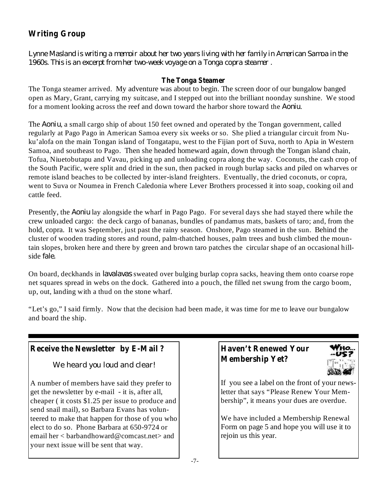# **Writing Group**

Lynne Masland is writing a memoir about her two years living with her family in American Samoa in the *1960s. This is an excerpt from her two-week voyage on a Tonga copra steamer .*

#### **The Tonga Steamer**

for a moment looking across the reef and down toward the harbor shore toward the *Aoniu*. The Tonga steamer arrived. My adventure was about to begin. The screen door of our bungalow banged open as Mary, Grant, carrying my suitcase, and I stepped out into the brilliant noonday sunshine. We stood

The *Aoniu*, a small cargo ship of about 150 feet owned and operated by the Tongan government, called regularly at Pago Pago in American Samoa every six weeks or so. She plied a triangular circuit from Nuku'alofa on the main Tongan island of Tongatapu, west to the Fijian port of Suva, north to Apia in Western Samoa, and southeast to Pago. Then she headed homeward again, down through the Tongan island chain, Tofua, Niuetobutapu and Vavau, picking up and unloading copra along the way. Coconuts, the cash crop of the South Pacific, were split and dried in the sun, then packed in rough burlap sacks and piled on wharves or remote island beaches to be collected by inter-island freighters. Eventually, the dried coconuts, or copra, went to Suva or Noumea in French Caledonia where Lever Brothers processed it into soap, cooking oil and cattle feed.

Presently, the *Aoniu* lay alongside the wharf in Pago Pago. For several days she had stayed there while the side *fale*. crew unloaded cargo: the deck cargo of bananas, bundles of pandamus mats, baskets of taro; and, from the hold, copra. It was September, just past the rainy season. Onshore, Pago steamed in the sun. Behind the cluster of wooden trading stores and round, palm-thatched houses, palm trees and bush climbed the mountain slopes, broken here and there by green and brown taro patches the circular shape of an occasional hill-

On board, deckhands in *lavalavas* sweated over bulging burlap copra sacks, heaving them onto coarse rope net squares spread in webs on the dock. Gathered into a pouch, the filled net swung from the cargo boom, up, out, landing with a thud on the stone wharf.

"Let's go," I said firmly. Now that the decision had been made, it was time for me to leave our bungalow and board the ship.

# **Receive** the Newsletter by E-Mail ?  $\qquad$  | Haven't Renewed Your

We heard you loud and clear!

A number of members have said they prefer to get the newsletter by e-mail - it is, after all, cheaper ( it costs \$1.25 per issue to produce and send snail mail), so Barbara Evans has volunteered to make that happen for those of you who elect to do so. Phone Barbara at 650-9724 or email her < barbandhoward@comcast.net> and your next issue will be sent that way.

# **Membership Yet?**



If you see a label on the front of your newsletter that says "Please Renew Your Membership", it means your dues are overdue.

We have included a Membership Renewal Form on page 5 and hope you will use it to rejoin us this year.